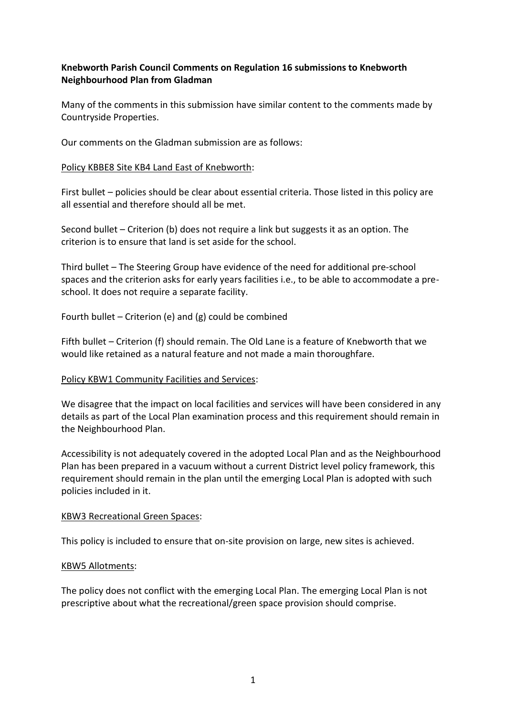# **Knebworth Parish Council Comments on Regulation 16 submissions to Knebworth Neighbourhood Plan from Gladman**

Many of the comments in this submission have similar content to the comments made by Countryside Properties.

Our comments on the Gladman submission are as follows:

## Policy KBBE8 Site KB4 Land East of Knebworth:

First bullet – policies should be clear about essential criteria. Those listed in this policy are all essential and therefore should all be met.

Second bullet – Criterion (b) does not require a link but suggests it as an option. The criterion is to ensure that land is set aside for the school.

Third bullet – The Steering Group have evidence of the need for additional pre-school spaces and the criterion asks for early years facilities i.e., to be able to accommodate a preschool. It does not require a separate facility.

Fourth bullet – Criterion (e) and (g) could be combined

Fifth bullet – Criterion (f) should remain. The Old Lane is a feature of Knebworth that we would like retained as a natural feature and not made a main thoroughfare.

#### Policy KBW1 Community Facilities and Services:

We disagree that the impact on local facilities and services will have been considered in any details as part of the Local Plan examination process and this requirement should remain in the Neighbourhood Plan.

Accessibility is not adequately covered in the adopted Local Plan and as the Neighbourhood Plan has been prepared in a vacuum without a current District level policy framework, this requirement should remain in the plan until the emerging Local Plan is adopted with such policies included in it.

#### KBW3 Recreational Green Spaces:

This policy is included to ensure that on-site provision on large, new sites is achieved.

#### KBW5 Allotments:

The policy does not conflict with the emerging Local Plan. The emerging Local Plan is not prescriptive about what the recreational/green space provision should comprise.